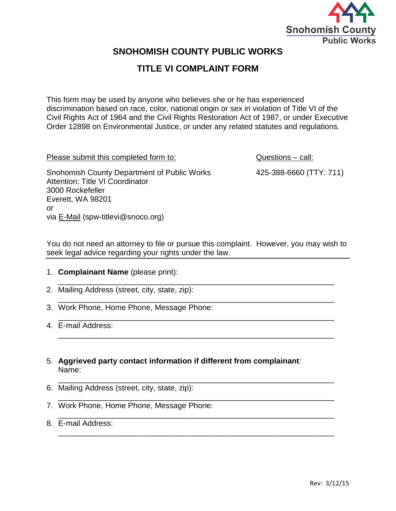

# **SNOHOMISH COUNTY PUBLIC WORKS**

# **TITLE VI COMPLAINT FORM**

This form may be used by anyone who believes she or he has experienced discrimination based on race, color, national origin or sex in violation of Title VI of the Civil Rights Act of 1964 and the Civil Rights Restoration Act of 1987, or under Executive Order 12898 on Environmental Justice, or under any related statutes and regulations.

Please submit this completed form to: Questions – call:

Snohomish County Department of Public Works 425-388-6660 (TTY: 711) Attention: Title VI Coordinator 3000 Rockefeller Everett, WA 98201 or via [E-Mail](mailto:spw-titlevi@snoco.org) (spw-titlevi@snoco.org)

You do not need an attorney to file or pursue this complaint. However, you may wish to seek legal advice regarding your rights under the law.

\_\_\_\_\_\_\_\_\_\_\_\_\_\_\_\_\_\_\_\_\_\_\_\_\_\_\_\_\_\_\_\_\_\_\_\_\_\_\_\_\_\_\_\_\_\_\_\_\_\_\_\_\_\_\_\_\_\_\_\_\_\_\_\_

\_\_\_\_\_\_\_\_\_\_\_\_\_\_\_\_\_\_\_\_\_\_\_\_\_\_\_\_\_\_\_\_\_\_\_\_\_\_\_\_\_\_\_\_\_\_\_\_\_\_\_\_\_\_\_\_\_\_\_\_\_\_\_\_

\_\_\_\_\_\_\_\_\_\_\_\_\_\_\_\_\_\_\_\_\_\_\_\_\_\_\_\_\_\_\_\_\_\_\_\_\_\_\_\_\_\_\_\_\_\_\_\_\_\_\_\_\_\_\_\_\_\_\_\_\_\_\_\_

\_\_\_\_\_\_\_\_\_\_\_\_\_\_\_\_\_\_\_\_\_\_\_\_\_\_\_\_\_\_\_\_\_\_\_\_\_\_\_\_\_\_\_\_\_\_\_\_\_\_\_\_\_\_\_\_\_\_\_\_\_\_\_\_

- 1. **Complainant Name** (please print):
- \_\_\_\_\_\_\_\_\_\_\_\_\_\_\_\_\_\_\_\_\_\_\_\_\_\_\_\_\_\_\_\_\_\_\_\_\_\_\_\_\_\_\_\_\_\_\_\_\_\_\_\_\_\_\_\_\_\_\_\_\_\_\_\_ 2. Mailing Address (street, city, state, zip):
- \_\_\_\_\_\_\_\_\_\_\_\_\_\_\_\_\_\_\_\_\_\_\_\_\_\_\_\_\_\_\_\_\_\_\_\_\_\_\_\_\_\_\_\_\_\_\_\_\_\_\_\_\_\_\_\_\_\_\_\_\_\_\_\_ 3. Work Phone, Home Phone, Message Phone:
- \_\_\_\_\_\_\_\_\_\_\_\_\_\_\_\_\_\_\_\_\_\_\_\_\_\_\_\_\_\_\_\_\_\_\_\_\_\_\_\_\_\_\_\_\_\_\_\_\_\_\_\_\_\_\_\_\_\_\_\_\_\_\_\_ 4. E-mail Address:
- 5. **Aggrieved party contact information if different from complainant**: Name:
- 6. Mailing Address (street, city, state, zip):
- 7. Work Phone, Home Phone, Message Phone:
- \_\_\_\_\_\_\_\_\_\_\_\_\_\_\_\_\_\_\_\_\_\_\_\_\_\_\_\_\_\_\_\_\_\_\_\_\_\_\_\_\_\_\_\_\_\_\_\_\_\_\_\_\_\_\_\_\_\_\_\_\_\_\_\_ 8. E-mail Address: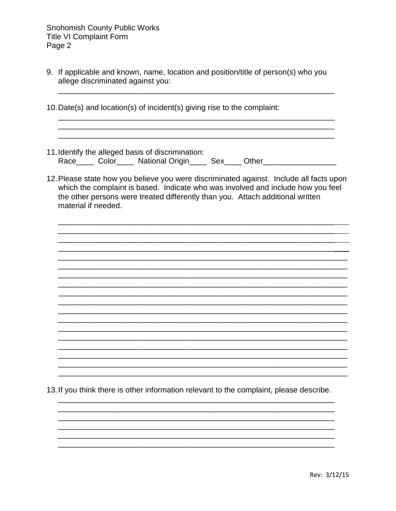**Snohomish County Public Works Title VI Complaint Form** Page 2

9. If applicable and known, name, location and position/title of person(s) who you allege discriminated against you:

<u> 1980 - Jan James James Barnett, fransk politik (d. 1980)</u>

- 10. Date(s) and location(s) of incident(s) giving rise to the complaint:
- 11. Identify the alleged basis of discrimination: Race\_\_\_\_\_ Color\_\_\_\_\_ National Origin\_\_\_\_\_ Sex\_\_\_\_ Other\_\_\_\_\_\_\_\_\_\_\_\_\_\_\_\_
- 12. Please state how you believe you were discriminated against. Include all facts upon which the complaint is based. Indicate who was involved and include how you feel the other persons were treated differently than you. Attach additional written material if needed.

13. If you think there is other information relevant to the complaint, please describe.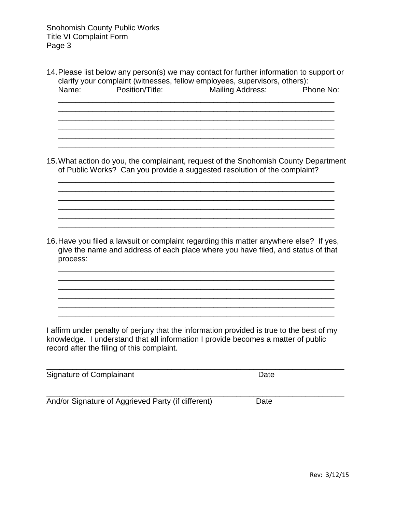14.Please list below any person(s) we may contact for further information to support or clarify your complaint (witnesses, fellow employees, supervisors, others):<br>Name: Position/Title: Mailing Address: Phone No: Name: Position/Title: Mailing Address:

\_\_\_\_\_\_\_\_\_\_\_\_\_\_\_\_\_\_\_\_\_\_\_\_\_\_\_\_\_\_\_\_\_\_\_\_\_\_\_\_\_\_\_\_\_\_\_\_\_\_\_\_\_\_\_\_\_\_\_\_\_\_\_\_  $\mathcal{L}_\mathcal{L} = \mathcal{L}_\mathcal{L} = \mathcal{L}_\mathcal{L} = \mathcal{L}_\mathcal{L} = \mathcal{L}_\mathcal{L} = \mathcal{L}_\mathcal{L} = \mathcal{L}_\mathcal{L} = \mathcal{L}_\mathcal{L} = \mathcal{L}_\mathcal{L} = \mathcal{L}_\mathcal{L} = \mathcal{L}_\mathcal{L} = \mathcal{L}_\mathcal{L} = \mathcal{L}_\mathcal{L} = \mathcal{L}_\mathcal{L} = \mathcal{L}_\mathcal{L} = \mathcal{L}_\mathcal{L} = \mathcal{L}_\mathcal{L}$ \_\_\_\_\_\_\_\_\_\_\_\_\_\_\_\_\_\_\_\_\_\_\_\_\_\_\_\_\_\_\_\_\_\_\_\_\_\_\_\_\_\_\_\_\_\_\_\_\_\_\_\_\_\_\_\_\_\_\_\_\_\_\_\_

 $\overline{\phantom{a}}$  ,  $\overline{\phantom{a}}$  ,  $\overline{\phantom{a}}$  ,  $\overline{\phantom{a}}$  ,  $\overline{\phantom{a}}$  ,  $\overline{\phantom{a}}$  ,  $\overline{\phantom{a}}$  ,  $\overline{\phantom{a}}$  ,  $\overline{\phantom{a}}$  ,  $\overline{\phantom{a}}$  ,  $\overline{\phantom{a}}$  ,  $\overline{\phantom{a}}$  ,  $\overline{\phantom{a}}$  ,  $\overline{\phantom{a}}$  ,  $\overline{\phantom{a}}$  ,  $\overline{\phantom{a}}$ \_\_\_\_\_\_\_\_\_\_\_\_\_\_\_\_\_\_\_\_\_\_\_\_\_\_\_\_\_\_\_\_\_\_\_\_\_\_\_\_\_\_\_\_\_\_\_\_\_\_\_\_\_\_\_\_\_\_\_\_\_\_\_\_ \_\_\_\_\_\_\_\_\_\_\_\_\_\_\_\_\_\_\_\_\_\_\_\_\_\_\_\_\_\_\_\_\_\_\_\_\_\_\_\_\_\_\_\_\_\_\_\_\_\_\_\_\_\_\_\_\_\_\_\_\_\_\_\_

15.What action do you, the complainant, request of the Snohomish County Department of Public Works? Can you provide a suggested resolution of the complaint?

\_\_\_\_\_\_\_\_\_\_\_\_\_\_\_\_\_\_\_\_\_\_\_\_\_\_\_\_\_\_\_\_\_\_\_\_\_\_\_\_\_\_\_\_\_\_\_\_\_\_\_\_\_\_\_\_\_\_\_\_\_\_\_\_ \_\_\_\_\_\_\_\_\_\_\_\_\_\_\_\_\_\_\_\_\_\_\_\_\_\_\_\_\_\_\_\_\_\_\_\_\_\_\_\_\_\_\_\_\_\_\_\_\_\_\_\_\_\_\_\_\_\_\_\_\_\_\_\_

\_\_\_\_\_\_\_\_\_\_\_\_\_\_\_\_\_\_\_\_\_\_\_\_\_\_\_\_\_\_\_\_\_\_\_\_\_\_\_\_\_\_\_\_\_\_\_\_\_\_\_\_\_\_\_\_\_\_\_\_\_\_\_\_ \_\_\_\_\_\_\_\_\_\_\_\_\_\_\_\_\_\_\_\_\_\_\_\_\_\_\_\_\_\_\_\_\_\_\_\_\_\_\_\_\_\_\_\_\_\_\_\_\_\_\_\_\_\_\_\_\_\_\_\_\_\_\_\_

16.Have you filed a lawsuit or complaint regarding this matter anywhere else? If yes, give the name and address of each place where you have filed, and status of that process:

\_\_\_\_\_\_\_\_\_\_\_\_\_\_\_\_\_\_\_\_\_\_\_\_\_\_\_\_\_\_\_\_\_\_\_\_\_\_\_\_\_\_\_\_\_\_\_\_\_\_\_\_\_\_\_\_\_\_\_\_\_\_\_\_ \_\_\_\_\_\_\_\_\_\_\_\_\_\_\_\_\_\_\_\_\_\_\_\_\_\_\_\_\_\_\_\_\_\_\_\_\_\_\_\_\_\_\_\_\_\_\_\_\_\_\_\_\_\_\_\_\_\_\_\_\_\_\_\_

\_\_\_\_\_\_\_\_\_\_\_\_\_\_\_\_\_\_\_\_\_\_\_\_\_\_\_\_\_\_\_\_\_\_\_\_\_\_\_\_\_\_\_\_\_\_\_\_\_\_\_\_\_\_\_\_\_\_\_\_\_\_\_\_ \_\_\_\_\_\_\_\_\_\_\_\_\_\_\_\_\_\_\_\_\_\_\_\_\_\_\_\_\_\_\_\_\_\_\_\_\_\_\_\_\_\_\_\_\_\_\_\_\_\_\_\_\_\_\_\_\_\_\_\_\_\_\_\_ \_\_\_\_\_\_\_\_\_\_\_\_\_\_\_\_\_\_\_\_\_\_\_\_\_\_\_\_\_\_\_\_\_\_\_\_\_\_\_\_\_\_\_\_\_\_\_\_\_\_\_\_\_\_\_\_\_\_\_\_\_\_\_\_

\_\_\_\_\_\_\_\_\_\_\_\_\_\_\_\_\_\_\_\_\_\_\_\_\_\_\_\_\_\_\_\_\_\_\_\_\_\_\_\_\_\_\_\_\_\_\_\_\_\_\_\_\_\_\_\_\_\_\_\_\_\_\_\_

I affirm under penalty of perjury that the information provided is true to the best of my knowledge. I understand that all information I provide becomes a matter of public record after the filing of this complaint.

\_\_\_\_\_\_\_\_\_\_\_\_\_\_\_\_\_\_\_\_\_\_\_\_\_\_\_\_\_\_\_\_\_\_\_\_\_\_\_\_\_\_\_\_\_\_\_\_\_\_\_\_\_\_\_\_\_\_\_\_\_\_\_\_\_\_\_\_\_ Signature of Complainant **Date** Date **Date** 

\_\_\_\_\_\_\_\_\_\_\_\_\_\_\_\_\_\_\_\_\_\_\_\_\_\_\_\_\_\_\_\_\_\_\_\_\_\_\_\_\_\_\_\_\_\_\_\_\_\_\_\_\_\_\_\_\_\_\_\_\_\_\_\_\_\_\_\_\_ And/or Signature of Aggrieved Party (if different) Date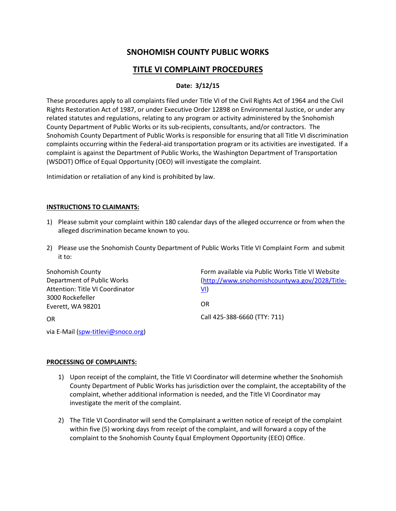## **SNOHOMISH COUNTY PUBLIC WORKS**

## **TITLE VI COMPLAINT PROCEDURES**

### **Date: 3/12/15**

These procedures apply to all complaints filed under Title VI of the Civil Rights Act of 1964 and the Civil Rights Restoration Act of 1987, or under Executive Order 12898 on Environmental Justice, or under any related statutes and regulations, relating to any program or activity administered by the Snohomish County Department of Public Works or its sub-recipients, consultants, and/or contractors. The Snohomish County Department of Public Works is responsible for ensuring that all Title VI discrimination complaints occurring within the Federal-aid transportation program or its activities are investigated. If a complaint is against the Department of Public Works, the Washington Department of Transportation (WSDOT) Office of Equal Opportunity (OEO) will investigate the complaint.

Intimidation or retaliation of any kind is prohibited by law.

#### **INSTRUCTIONS TO CLAIMANTS:**

- 1) Please submit your complaint within 180 calendar days of the alleged occurrence or from when the alleged discrimination became known to you.
- 2) Please use the Snohomish County Department of Public Works Title VI Complaint Form and submit it to:

| <b>Snohomish County</b>         | Form available via Public Works Title VI Website |
|---------------------------------|--------------------------------------------------|
| Department of Public Works      | (http://www.snohomishcountywa.gov/2028/Title-    |
| Attention: Title VI Coordinator | VI)                                              |
| 3000 Rockefeller                |                                                  |
| Everett, WA 98201               | OR                                               |
| OR                              | Call 425-388-6660 (TTY: 711)                     |

via E-Mail [\(spw-titlevi@snoco.org\)](mailto:spw-titlevi@snoco.org)

#### **PROCESSING OF COMPLAINTS:**

- 1) Upon receipt of the complaint, the Title VI Coordinator will determine whether the Snohomish County Department of Public Works has jurisdiction over the complaint, the acceptability of the complaint, whether additional information is needed, and the Title VI Coordinator may investigate the merit of the complaint.
- 2) The Title VI Coordinator will send the Complainant a written notice of receipt of the complaint within five (5) working days from receipt of the complaint, and will forward a copy of the complaint to the Snohomish County Equal Employment Opportunity (EEO) Office.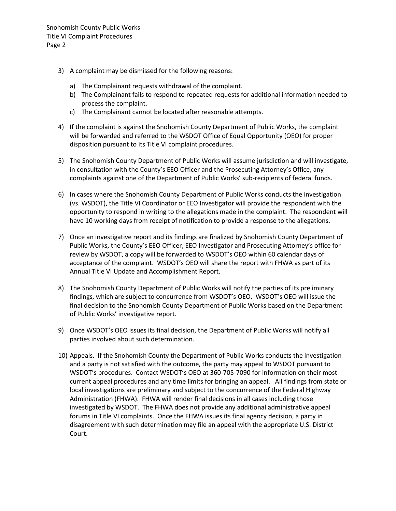- 3) A complaint may be dismissed for the following reasons:
	- a) The Complainant requests withdrawal of the complaint.
	- b) The Complainant fails to respond to repeated requests for additional information needed to process the complaint.
	- c) The Complainant cannot be located after reasonable attempts.
- 4) If the complaint is against the Snohomish County Department of Public Works, the complaint will be forwarded and referred to the WSDOT Office of Equal Opportunity (OEO) for proper disposition pursuant to its Title VI complaint procedures.
- 5) The Snohomish County Department of Public Works will assume jurisdiction and will investigate, in consultation with the County's EEO Officer and the Prosecuting Attorney's Office, any complaints against one of the Department of Public Works' sub-recipients of federal funds.
- 6) In cases where the Snohomish County Department of Public Works conducts the investigation (vs. WSDOT), the Title VI Coordinator or EEO Investigator will provide the respondent with the opportunity to respond in writing to the allegations made in the complaint. The respondent will have 10 working days from receipt of notification to provide a response to the allegations.
- 7) Once an investigative report and its findings are finalized by Snohomish County Department of Public Works, the County's EEO Officer, EEO Investigator and Prosecuting Attorney's office for review by WSDOT, a copy will be forwarded to WSDOT's OEO within 60 calendar days of acceptance of the complaint. WSDOT's OEO will share the report with FHWA as part of its Annual Title VI Update and Accomplishment Report.
- 8) The Snohomish County Department of Public Works will notify the parties of its preliminary findings, which are subject to concurrence from WSDOT's OEO. WSDOT's OEO will issue the final decision to the Snohomish County Department of Public Works based on the Department of Public Works' investigative report.
- 9) Once WSDOT's OEO issues its final decision, the Department of Public Works will notify all parties involved about such determination.
- 10) Appeals. If the Snohomish County the Department of Public Works conducts the investigation and a party is not satisfied with the outcome, the party may appeal to WSDOT pursuant to WSDOT's procedures. Contact WSDOT's OEO at 360-705-7090 for information on their most current appeal procedures and any time limits for bringing an appeal. All findings from state or local investigations are preliminary and subject to the concurrence of the Federal Highway Administration (FHWA). FHWA will render final decisions in all cases including those investigated by WSDOT. The FHWA does not provide any additional administrative appeal forums in Title VI complaints. Once the FHWA issues its final agency decision, a party in disagreement with such determination may file an appeal with the appropriate U.S. District Court.